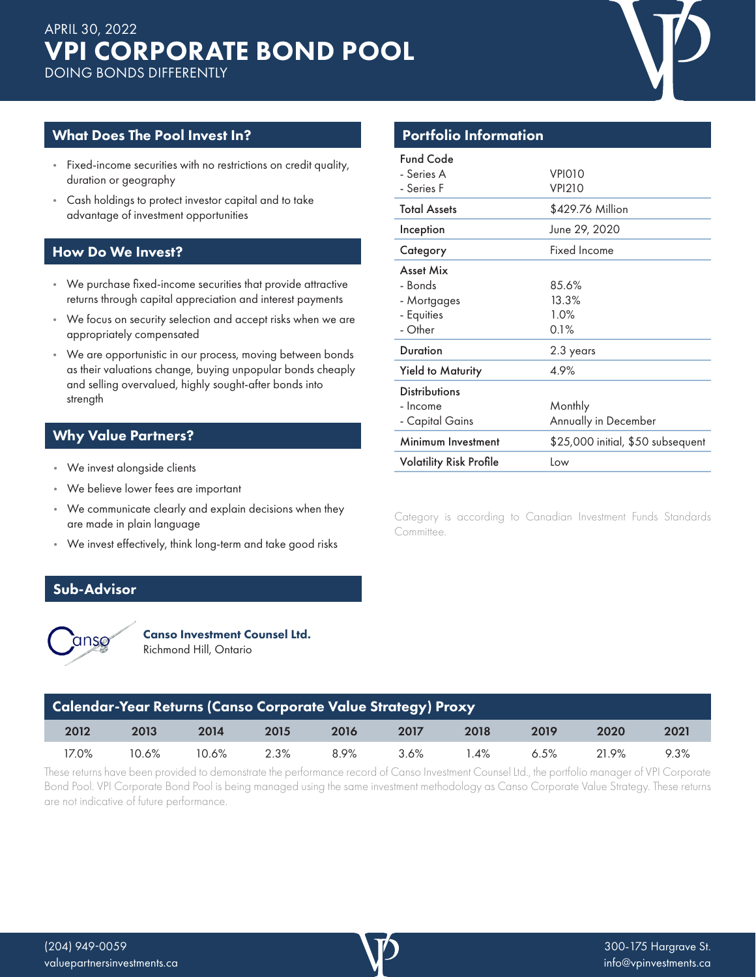## What Does The Pool Invest In?

- Fixed-income securities with no restrictions on credit quality, duration or geography
- Cash holdings to protect investor capital and to take advantage of investment opportunities

### How Do We Invest?

- We purchase fixed-income securities that provide attractive returns through capital appreciation and interest payments
- We focus on security selection and accept risks when we are appropriately compensated
- We are opportunistic in our process, moving between bonds as their valuations change, buying unpopular bonds cheaply and selling overvalued, highly sought-after bonds into strength

# Why Value Partners?

- We invest alongside clients
- We believe lower fees are important
- We communicate clearly and explain decisions when they are made in plain language
- We invest effectively, think long-term and take good risks

### Sub-Advisor



Canso Investment Counsel Ltd. Richmond Hill, Ontario

| <b>Calendar-Year Returns (Canso Corporate Value Strategy) Proxy</b> |       |       |      |      |         |      |      |       |      |
|---------------------------------------------------------------------|-------|-------|------|------|---------|------|------|-------|------|
| 2012                                                                | 2013  | 2014  | 2015 | 2016 | 2017    | 2018 | 2019 | 2020  | 2021 |
| 17.0%                                                               | 10.6% | 10.6% | 2.3% | 8.9% | $3.6\%$ | 4%   | 6.5% | 21.9% | 9.3% |

These returns have been provided to demonstrate the performance record of Canso Investment Counsel Ltd., the portfolio manager of VPI Corporate Bond Pool. VPI Corporate Bond Pool is being managed using the same investment methodology as Canso Corporate Value Strategy. These returns are not indicative of future performance.

| <b>Portfolio Information</b>                                 |                                   |  |  |  |
|--------------------------------------------------------------|-----------------------------------|--|--|--|
| <b>Fund Code</b><br>- Series A<br>- Series F                 | VPIO10<br><b>VPI210</b>           |  |  |  |
| <b>Total Assets</b>                                          | \$429.76 Million                  |  |  |  |
| Inception                                                    | June 29, 2020                     |  |  |  |
| Category                                                     | Fixed Income                      |  |  |  |
| Asset Mix<br>- Bonds<br>- Mortgages<br>- Equities<br>- Other | 85.6%<br>13.3%<br>1.0%<br>0.1%    |  |  |  |
| <b>Duration</b>                                              | 2.3 years                         |  |  |  |
| <b>Yield to Maturity</b>                                     | 4.9%                              |  |  |  |
| <b>Distributions</b><br>- Income<br>- Capital Gains          | Monthly<br>Annually in December   |  |  |  |
| Minimum Investment                                           | \$25,000 initial, \$50 subsequent |  |  |  |
| <b>Volatility Risk Profile</b>                               | Low                               |  |  |  |
|                                                              |                                   |  |  |  |

Category is according to Canadian Investment Funds Standards Committee.